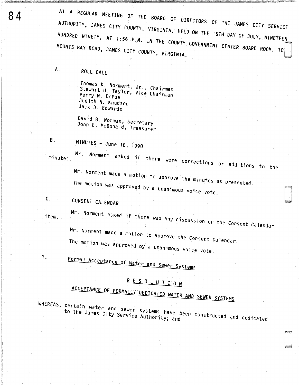AT A REGULAR MEETING OF THE BOARD OF DIRECTORS OF THE JAMES CITY SERVICE AUTHORITY, JAMES CITY COUNTY, VIRGINIA, HELD ON THE 16TH DAY OF JULY, NINETEEN HUNDRED NINETY, AT 1:56 P.M. IN THE COUNTY GOVERNMENT CENTER BOARD ROOM, 10 MOUNTS BAY ROAD, JAMES CITY COUNTY, VIRGINIA.

ROLL CALL

Thomas K. Norment, Jr., Chairman Stewart U. Taylor, Vice Chairman Perry M. DePue Judith N. Knudson Jack D. Edwards

David B. Norman, Secretary John E. McDonald, Treasurer

MINUTES - June 18, 1990

minutes.

 $B_{\perp}$ 

Α.

Mr. Norment asked if there were corrections or additions to the Mr. Norment made a motion to approve the minutes as presented.

The motion was approved by a unanimous voice vote.

- $c_{\cdot}$ CONSENT CALENDAR
- item.

1.

Mr. Norment asked if there was any discussion on the Consent Calendar Mr. Norment made a motion to approve the Consent Calendar.

The motion was approved by a unanimous voice vote.

Formal Acceptance of Water and Sewer Systems

## RESOLUTION

## ACCEPTANCE OF FORMALLY DEDICATED WATER AND SEWER SYSTEMS

WHEREAS, certain water and sewer systems have been constructed and dedicated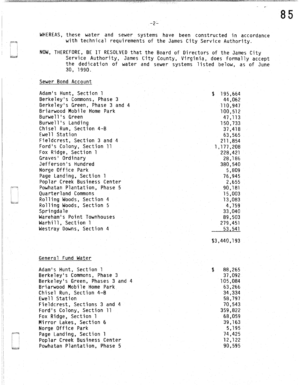WHEREAS, these water and sewer systems have been constructed in accordance with technical requirements of the James City Service Authority.

-2:.

NOW, THEREFORE, BE IT RESOLVED that the Board of Directors of the James City Service Authority, James City County, Virginia, does formally accept the dedication of water and sewer systems listed below, as of June 30. 1990.

## Sewer Bond Account

| Adam's Hunt, Section 1          | 195,664<br>\$. |
|---------------------------------|----------------|
| Berkeley's Commons, Phase 3     | 44,062         |
| Berkeley's Green, Phase 3 and 4 | 110,947        |
| Briarwood Mobile Home Park      | 100,512        |
| Burwell's Green                 | 47, 113        |
| Burwell's Landing               | 150,733        |
| Chisel Run, Section 4-B         | 37,418         |
| Ewell Station                   | 63,565         |
| Fieldcrest, Section 3 and 4     | 211,854        |
| Ford's Colony, Section 11       | 1,177,208      |
| Fox Ridge, Section 1            | 228,421        |
| Graves' Ordinary                | 28,186         |
| Jefferson's Hundred             | 380,540        |
| Norge Office Park               | 5,809          |
| Page Landing, Section 1         | 76,945         |
| Poplar Creek Business Center    | 2,655          |
| Powhatan Plantation, Phase 5    | 90,181         |
| Quarterland Commons             | 15,003         |
| Rolling Woods, Section 4        | 13,083         |
| Rolling Woods, Section 5        | 4,759          |
| Springdale                      | 33,040         |
| Wareham's Point Townhouses      | 89,503         |
| Warhill, Section 1              | 279,451        |
| Westray Downs, Section 4        | 53,541         |
|                                 |                |

\$3,440,193

## General Fund Water

:i

| Adam's Hunt, Section 1           | 88,265  |
|----------------------------------|---------|
| Berkeley's Commons, Phase 3      | 37,092  |
| Berkeley's Green, Phases 3 and 4 | 105,084 |
| Briarwood Mobile Home Park       | 63,266  |
| Chisel Run, Section 4-B          | 34,334  |
| Ewell Station                    | 58,797  |
| Fieldcrest, Sections 3 and 4     | 70,543  |
| Ford's Colony, Section 11        | 359,822 |
| Fox Ridge, Section 1             | 68,059  |
| Mirror Lakes, Section 6          | 39, 163 |
| Norge Office Park                | 5,195   |
| Page Landing, Section 1          | 74,425  |
| Poplar Creek Business Center     | 12,122  |
| Powhatan Plantation, Phase 5     | 90,595  |